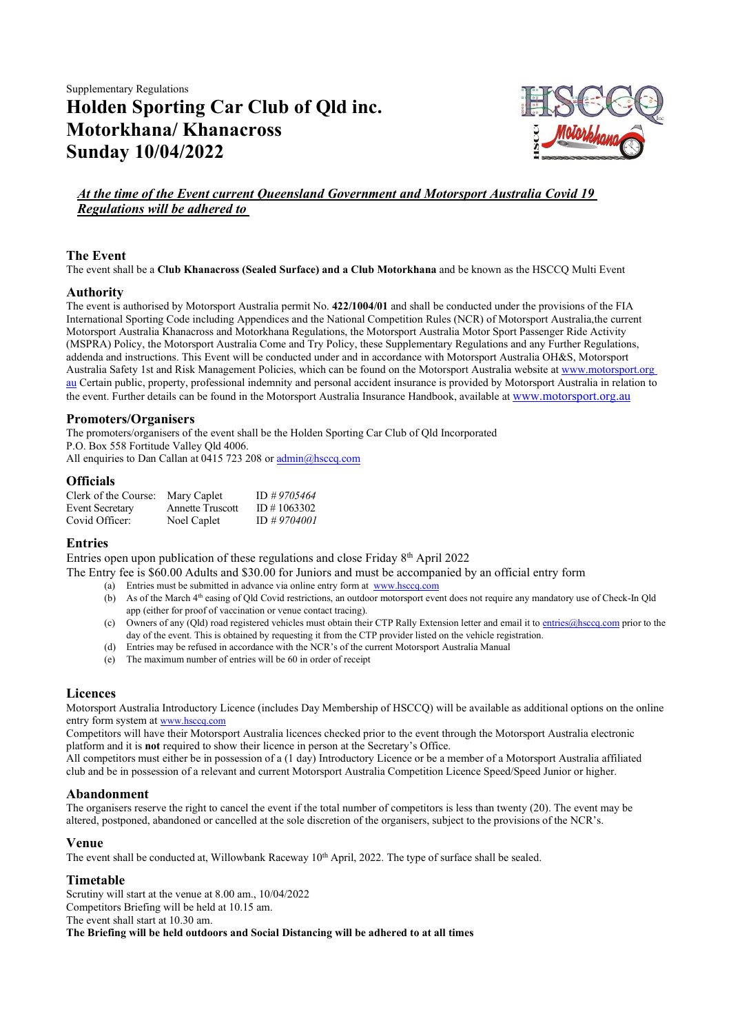Supplementary Regulations Holden Sporting Car Club of Qld inc. Motorkhana/ Khanacross Sunday 10/04/2022



# At the time of the Event current Queensland Government and Motorsport Australia Covid 19 Regulations will be adhered to

# The Event

The event shall be a Club Khanacross (Sealed Surface) and a Club Motorkhana and be known as the HSCCO Multi Event

# Authority

The event is authorised by Motorsport Australia permit No. 422/1004/01 and shall be conducted under the provisions of the FIA International Sporting Code including Appendices and the National Competition Rules (NCR) of Motorsport Australia, the current Motorsport Australia Khanacross and Motorkhana Regulations, the Motorsport Australia Motor Sport Passenger Ride Activity (MSPRA) Policy, the Motorsport Australia Come and Try Policy, these Supplementary Regulations and any Further Regulations, addenda and instructions. This Event will be conducted under and in accordance with Motorsport Australia OH&S, Motorsport Australia Safety 1st and Risk Management Policies, which can be found on the Motorsport Australia website at www.motorsport.org au Certain public, property, professional indemnity and personal accident insurance is provided by Motorsport Australia in relation to the event. Further details can be found in the Motorsport Australia Insurance Handbook, available at www.motorsport.org.au

# Promoters/Organisers

The promoters/organisers of the event shall be the Holden Sporting Car Club of Qld Incorporated P.O. Box 558 Fortitude Valley Qld 4006. All enquiries to Dan Callan at 0415 723 208 or admin@hsccq.com

# **Officials**

| Clerk of the Course:   | Mary Caplet             | ID #9705464 |
|------------------------|-------------------------|-------------|
| <b>Event Secretary</b> | <b>Annette Truscott</b> | ID#1063302  |
| Covid Officer:         | Noel Caplet             | ID #9704001 |

# Entries

Entries open upon publication of these regulations and close Friday 8th April 2022

The Entry fee is \$60.00 Adults and \$30.00 for Juniors and must be accompanied by an official entry form

- (a) Entries must be submitted in advance via online entry form at www.hsccq.com
- (b) As of the March  $4<sup>th</sup>$  easing of Qld Covid restrictions, an outdoor motorsport event does not require any mandatory use of Check-In Qld app (either for proof of vaccination or venue contact tracing).
- (c) Owners of any (Qld) road registered vehicles must obtain their CTP Rally Extension letter and email it to entries@hsccq.com prior to the day of the event. This is obtained by requesting it from the CTP provider listed on the vehicle registration.
- (d) Entries may be refused in accordance with the NCR's of the current Motorsport Australia Manual
- (e) The maximum number of entries will be 60 in order of receipt

# Licences

Motorsport Australia Introductory Licence (includes Day Membership of HSCCQ) will be available as additional options on the online entry form system at www.hsccq.com

Competitors will have their Motorsport Australia licences checked prior to the event through the Motorsport Australia electronic platform and it is not required to show their licence in person at the Secretary's Office.

All competitors must either be in possession of a (1 day) Introductory Licence or be a member of a Motorsport Australia affiliated club and be in possession of a relevant and current Motorsport Australia Competition Licence Speed/Speed Junior or higher.

# Abandonment

The organisers reserve the right to cancel the event if the total number of competitors is less than twenty (20). The event may be altered, postponed, abandoned or cancelled at the sole discretion of the organisers, subject to the provisions of the NCR's.

# Venue

The event shall be conducted at, Willowbank Raceway  $10<sup>th</sup>$  April, 2022. The type of surface shall be sealed.

# Timetable

Scrutiny will start at the venue at 8.00 am., 10/04/2022 Competitors Briefing will be held at 10.15 am. The event shall start at 10.30 am. The Briefing will be held outdoors and Social Distancing will be adhered to at all times